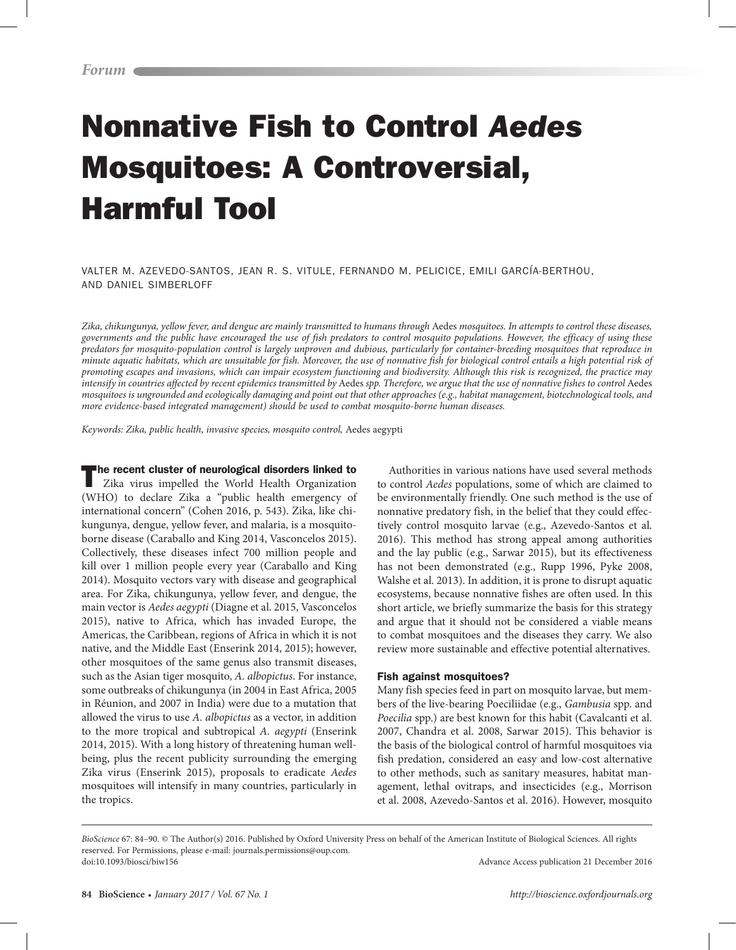# Nonnative Fish to Control *Aedes* Mosquitoes: A Controversial, Harmful Tool

VALTER M. AZEVEDO-SANTOS, JEAN R. S. VITULE, FERNANDO M. PELICICE, EMILI GARCÍA-BERTHOU, AND DANIEL SIMBERLOFF

*Zika, chikungunya, yellow fever, and dengue are mainly transmitted to humans through* Aedes *mosquitoes. In attempts to control these diseases, governments and the public have encouraged the use of fish predators to control mosquito populations. However, the efficacy of using these predators for mosquito-population control is largely unproven and dubious, particularly for container-breeding mosquitoes that reproduce in minute aquatic habitats, which are unsuitable for fish. Moreover, the use of nonnative fish for biological control entails a high potential risk of promoting escapes and invasions, which can impair ecosystem functioning and biodiversity. Although this risk is recognized, the practice may intensify in countries affected by recent epidemics transmitted by Aedes spp. Therefore, we argue that the use of nonnative fishes to control Aedes mosquitoes is ungrounded and ecologically damaging and point out that other approaches (e.g., habitat management, biotechnological tools, and more evidence-based integrated management) should be used to combat mosquito-borne human diseases.*

*Keywords: Zika, public health, invasive species, mosquito control,* Aedes aegypti

The recent cluster of neurological disorders linked to Zika virus impelled the World Health Organization (WHO) to declare Zika a "public health emergency of international concern" (Cohen 2016, p. 543). Zika, like chikungunya, dengue, yellow fever, and malaria, is a mosquitoborne disease (Caraballo and King 2014, Vasconcelos 2015). Collectively, these diseases infect 700 million people and kill over 1 million people every year (Caraballo and King 2014). Mosquito vectors vary with disease and geographical area. For Zika, chikungunya, yellow fever, and dengue, the main vector is *Aedes aegypti* (Diagne et al. 2015, Vasconcelos 2015), native to Africa, which has invaded Europe, the Americas, the Caribbean, regions of Africa in which it is not native, and the Middle East (Enserink 2014, 2015); however, other mosquitoes of the same genus also transmit diseases, such as the Asian tiger mosquito, *A. albopictus*. For instance, some outbreaks of chikungunya (in 2004 in East Africa, 2005 in Réunion, and 2007 in India) were due to a mutation that allowed the virus to use *A. albopictus* as a vector, in addition to the more tropical and subtropical *A. aegypti* (Enserink 2014, 2015). With a long history of threatening human wellbeing, plus the recent publicity surrounding the emerging Zika virus (Enserink 2015), proposals to eradicate *Aedes*  mosquitoes will intensify in many countries, particularly in the tropics.

Authorities in various nations have used several methods to control *Aedes* populations, some of which are claimed to be environmentally friendly. One such method is the use of nonnative predatory fish, in the belief that they could effectively control mosquito larvae (e.g., Azevedo-Santos et al. 2016). This method has strong appeal among authorities and the lay public (e.g., Sarwar 2015), but its effectiveness has not been demonstrated (e.g., Rupp 1996, Pyke 2008, Walshe et al. 2013). In addition, it is prone to disrupt aquatic ecosystems, because nonnative fishes are often used. In this short article, we briefly summarize the basis for this strategy and argue that it should not be considered a viable means to combat mosquitoes and the diseases they carry. We also review more sustainable and effective potential alternatives.

#### Fish against mosquitoes?

Many fish species feed in part on mosquito larvae, but members of the live-bearing Poeciliidae (e.g., *Gambusia* spp. and *Poecilia* spp.) are best known for this habit (Cavalcanti et al. 2007, Chandra et al. 2008, Sarwar 2015). This behavior is the basis of the biological control of harmful mosquitoes via fish predation, considered an easy and low-cost alternative to other methods, such as sanitary measures, habitat management, lethal ovitraps, and insecticides (e.g., Morrison et al. 2008, Azevedo-Santos et al. 2016). However, mosquito

*BioScience* 67: 84–90. © The Author(s) 2016. Published by Oxford University Press on behalf of the American Institute of Biological Sciences. All rights reserved. For Permissions, please e-mail: journals.permissions@oup.com. doi:10.1093/biosci/biw156 Advance Access publication 21 December 2016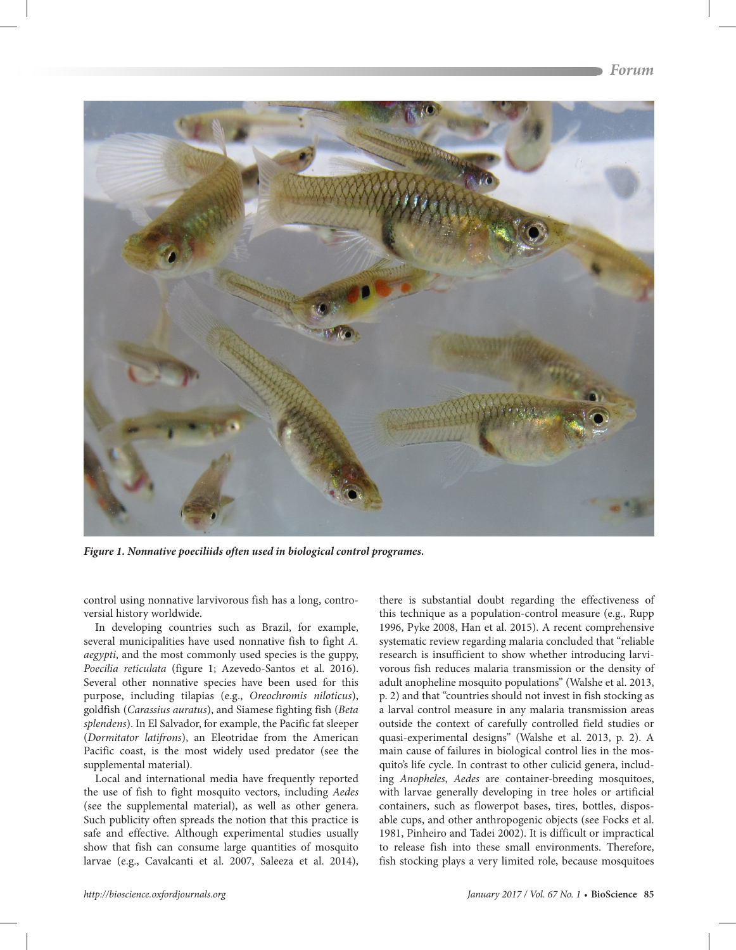

*Figure 1. Nonnative poeciliids often used in biological control programes.*

control using nonnative larvivorous fish has a long, controversial history worldwide.

In developing countries such as Brazil, for example, several municipalities have used nonnative fish to fight *A. aegypti*, and the most commonly used species is the guppy, *Poecilia reticulata* (figure 1; Azevedo-Santos et al. 2016). Several other nonnative species have been used for this purpose, including tilapias (e.g., *Oreochromis niloticus*), goldfish (*Carassius auratus*), and Siamese fighting fish (*Beta splendens*). In El Salvador, for example, the Pacific fat sleeper (*Dormitator latifrons*), an Eleotridae from the American Pacific coast, is the most widely used predator (see the supplemental material).

Local and international media have frequently reported the use of fish to fight mosquito vectors, including *Aedes* (see the supplemental material), as well as other genera. Such publicity often spreads the notion that this practice is safe and effective. Although experimental studies usually show that fish can consume large quantities of mosquito larvae (e.g., Cavalcanti et al. 2007, Saleeza et al. 2014),

there is substantial doubt regarding the effectiveness of this technique as a population-control measure (e.g., Rupp 1996, Pyke 2008, Han et al. 2015). A recent comprehensive systematic review regarding malaria concluded that "reliable research is insufficient to show whether introducing larvivorous fish reduces malaria transmission or the density of adult anopheline mosquito populations" (Walshe et al. 2013, p. 2) and that "countries should not invest in fish stocking as a larval control measure in any malaria transmission areas outside the context of carefully controlled field studies or quasi-experimental designs" (Walshe et al. 2013, p. 2). A main cause of failures in biological control lies in the mosquito's life cycle. In contrast to other culicid genera, including *Anopheles*, *Aedes* are container-breeding mosquitoes, with larvae generally developing in tree holes or artificial containers, such as flowerpot bases, tires, bottles, disposable cups, and other anthropogenic objects (see Focks et al. 1981, Pinheiro and Tadei 2002). It is difficult or impractical to release fish into these small environments. Therefore, fish stocking plays a very limited role, because mosquitoes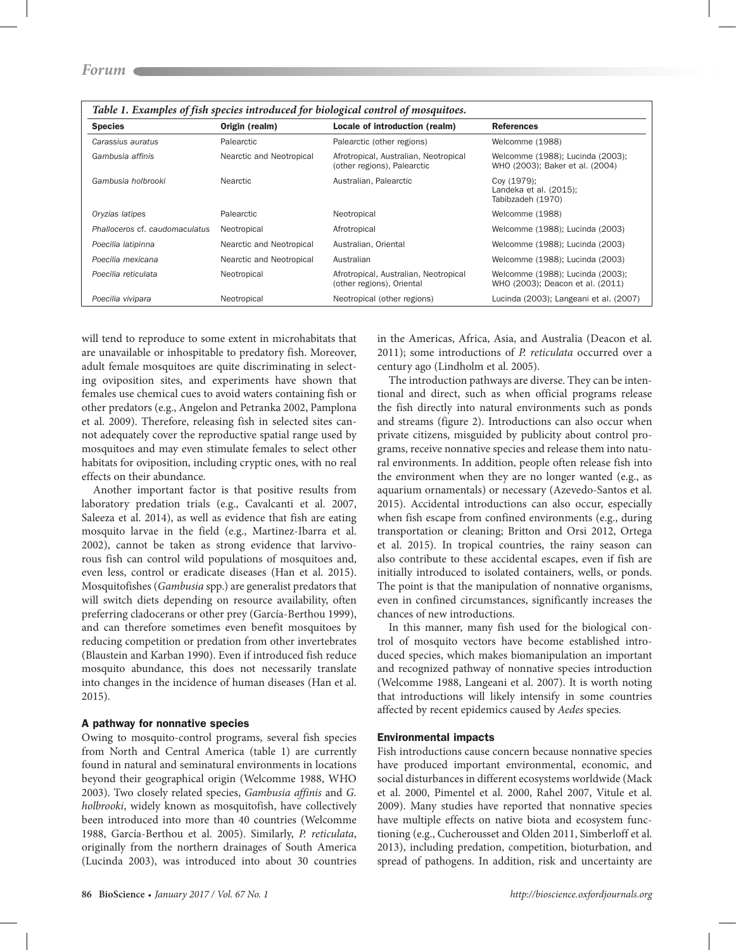| <b>Species</b>                 | Origin (realm)           | Locale of introduction (realm)                                       | <b>References</b>                                                    |
|--------------------------------|--------------------------|----------------------------------------------------------------------|----------------------------------------------------------------------|
| Carassius auratus              | Palearctic               | Palearctic (other regions)                                           | Welcomme (1988)                                                      |
| Gambusia affinis               | Nearctic and Neotropical | Afrotropical, Australian, Neotropical<br>(other regions), Palearctic | Welcomme (1988); Lucinda (2003);<br>WHO (2003); Baker et al. (2004)  |
| Gambusia holbrooki             | Nearctic                 | Australian, Palearctic                                               | Coy (1979);<br>Landeka et al. (2015);<br>Tabibzadeh (1970)           |
| Oryzias latipes                | Palearctic               | Neotropical                                                          | Welcomme (1988)                                                      |
| Phalloceros cf. caudomaculatus | Neotropical              | Afrotropical                                                         | Welcomme (1988); Lucinda (2003)                                      |
| Poecilia latipinna             | Nearctic and Neotropical | Australian, Oriental                                                 | Welcomme (1988); Lucinda (2003)                                      |
| Poecilia mexicana              | Nearctic and Neotropical | Australian                                                           | Welcomme (1988); Lucinda (2003)                                      |
| Poecilia reticulata            | Neotropical              | Afrotropical, Australian, Neotropical<br>(other regions), Oriental   | Welcomme (1988); Lucinda (2003);<br>WHO (2003); Deacon et al. (2011) |
| Poecilia vivipara              | Neotropical              | Neotropical (other regions)                                          | Lucinda (2003); Langeani et al. (2007)                               |

*Table 1. Examples of fish species introduced for biological control of mosquitoes.*

will tend to reproduce to some extent in microhabitats that are unavailable or inhospitable to predatory fish. Moreover, adult female mosquitoes are quite discriminating in selecting oviposition sites, and experiments have shown that females use chemical cues to avoid waters containing fish or other predators (e.g., Angelon and Petranka 2002, Pamplona et al. 2009). Therefore, releasing fish in selected sites cannot adequately cover the reproductive spatial range used by mosquitoes and may even stimulate females to select other habitats for oviposition, including cryptic ones, with no real effects on their abundance.

Another important factor is that positive results from laboratory predation trials (e.g., Cavalcanti et al. 2007, Saleeza et al. 2014), as well as evidence that fish are eating mosquito larvae in the field (e.g., Martinez-Ibarra et al. 2002), cannot be taken as strong evidence that larvivorous fish can control wild populations of mosquitoes and, even less, control or eradicate diseases (Han et al. 2015). Mosquitofishes (*Gambusia* spp.) are generalist predators that will switch diets depending on resource availability, often preferring cladocerans or other prey (García-Berthou 1999), and can therefore sometimes even benefit mosquitoes by reducing competition or predation from other invertebrates (Blaustein and Karban 1990). Even if introduced fish reduce mosquito abundance, this does not necessarily translate into changes in the incidence of human diseases (Han et al. 2015).

## A pathway for nonnative species

Owing to mosquito-control programs, several fish species from North and Central America (table 1) are currently found in natural and seminatural environments in locations beyond their geographical origin (Welcomme 1988, WHO 2003). Two closely related species, *Gambusia affinis* and *G. holbrooki*, widely known as mosquitofish, have collectively been introduced into more than 40 countries (Welcomme 1988, García-Berthou et al. 2005). Similarly, *P. reticulata*, originally from the northern drainages of South America (Lucinda 2003), was introduced into about 30 countries in the Americas, Africa, Asia, and Australia (Deacon et al. 2011); some introductions of *P. reticulata* occurred over a century ago (Lindholm et al. 2005).

The introduction pathways are diverse. They can be intentional and direct, such as when official programs release the fish directly into natural environments such as ponds and streams (figure 2). Introductions can also occur when private citizens, misguided by publicity about control programs, receive nonnative species and release them into natural environments. In addition, people often release fish into the environment when they are no longer wanted (e.g., as aquarium ornamentals) or necessary (Azevedo-Santos et al. 2015). Accidental introductions can also occur, especially when fish escape from confined environments (e.g., during transportation or cleaning; Britton and Orsi 2012, Ortega et al. 2015). In tropical countries, the rainy season can also contribute to these accidental escapes, even if fish are initially introduced to isolated containers, wells, or ponds. The point is that the manipulation of nonnative organisms, even in confined circumstances, significantly increases the chances of new introductions.

In this manner, many fish used for the biological control of mosquito vectors have become established introduced species, which makes biomanipulation an important and recognized pathway of nonnative species introduction (Welcomme 1988, Langeani et al. 2007). It is worth noting that introductions will likely intensify in some countries affected by recent epidemics caused by *Aedes* species.

# Environmental impacts

Fish introductions cause concern because nonnative species have produced important environmental, economic, and social disturbances in different ecosystems worldwide (Mack et al. 2000, Pimentel et al. 2000, Rahel 2007, Vitule et al. 2009). Many studies have reported that nonnative species have multiple effects on native biota and ecosystem functioning (e.g., Cucherousset and Olden 2011, Simberloff et al. 2013), including predation, competition, bioturbation, and spread of pathogens. In addition, risk and uncertainty are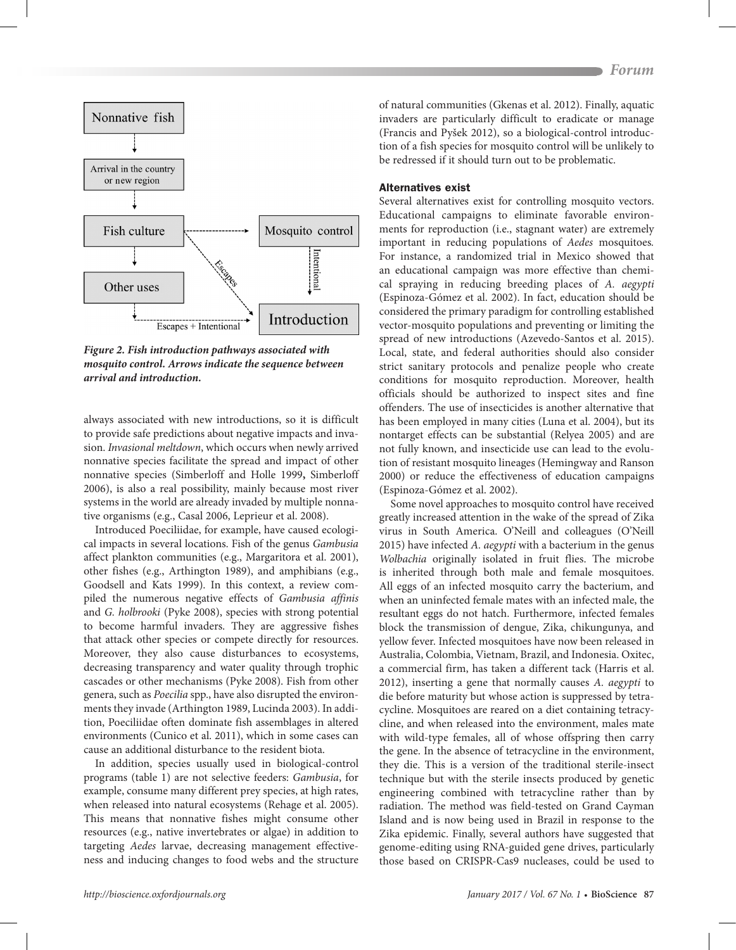

*Figure 2. Fish introduction pathways associated with mosquito control. Arrows indicate the sequence between arrival and introduction.*

always associated with new introductions, so it is difficult to provide safe predictions about negative impacts and invasion. *Invasional meltdown*, which occurs when newly arrived nonnative species facilitate the spread and impact of other nonnative species (Simberloff and Holle 1999**,** Simberloff 2006), is also a real possibility, mainly because most river systems in the world are already invaded by multiple nonnative organisms (e.g., Casal 2006, Leprieur et al. 2008).

Introduced Poeciliidae, for example, have caused ecological impacts in several locations. Fish of the genus *Gambusia* affect plankton communities (e.g., Margaritora et al. 2001), other fishes (e.g., Arthington 1989), and amphibians (e.g., Goodsell and Kats 1999). In this context, a review compiled the numerous negative effects of *Gambusia affinis* and *G. holbrooki* (Pyke 2008), species with strong potential to become harmful invaders. They are aggressive fishes that attack other species or compete directly for resources. Moreover, they also cause disturbances to ecosystems, decreasing transparency and water quality through trophic cascades or other mechanisms (Pyke 2008). Fish from other genera, such as *Poecilia* spp., have also disrupted the environments they invade (Arthington 1989, Lucinda 2003). In addition, Poeciliidae often dominate fish assemblages in altered environments (Cunico et al. 2011), which in some cases can cause an additional disturbance to the resident biota.

In addition, species usually used in biological-control programs (table 1) are not selective feeders: *Gambusia*, for example, consume many different prey species, at high rates, when released into natural ecosystems (Rehage et al. 2005). This means that nonnative fishes might consume other resources (e.g., native invertebrates or algae) in addition to targeting *Aedes* larvae, decreasing management effectiveness and inducing changes to food webs and the structure

of natural communities (Gkenas et al. 2012). Finally, aquatic invaders are particularly difficult to eradicate or manage (Francis and Pyšek 2012), so a biological-control introduction of a fish species for mosquito control will be unlikely to be redressed if it should turn out to be problematic.

#### Alternatives exist

Several alternatives exist for controlling mosquito vectors. Educational campaigns to eliminate favorable environments for reproduction (i.e., stagnant water) are extremely important in reducing populations of *Aedes* mosquitoes*.*  For instance, a randomized trial in Mexico showed that an educational campaign was more effective than chemical spraying in reducing breeding places of *A. aegypti* (Espinoza-Gómez et al. 2002). In fact, education should be considered the primary paradigm for controlling established vector-mosquito populations and preventing or limiting the spread of new introductions (Azevedo-Santos et al. 2015). Local, state, and federal authorities should also consider strict sanitary protocols and penalize people who create conditions for mosquito reproduction. Moreover, health officials should be authorized to inspect sites and fine offenders. The use of insecticides is another alternative that has been employed in many cities (Luna et al. 2004), but its nontarget effects can be substantial (Relyea 2005) and are not fully known, and insecticide use can lead to the evolution of resistant mosquito lineages (Hemingway and Ranson 2000) or reduce the effectiveness of education campaigns (Espinoza-Gómez et al. 2002).

Some novel approaches to mosquito control have received greatly increased attention in the wake of the spread of Zika virus in South America. O'Neill and colleagues (O'Neill 2015) have infected *A. aegypti* with a bacterium in the genus *Wolbachia* originally isolated in fruit flies. The microbe is inherited through both male and female mosquitoes. All eggs of an infected mosquito carry the bacterium, and when an uninfected female mates with an infected male, the resultant eggs do not hatch. Furthermore, infected females block the transmission of dengue, Zika, chikungunya, and yellow fever. Infected mosquitoes have now been released in Australia, Colombia, Vietnam, Brazil, and Indonesia. Oxitec, a commercial firm, has taken a different tack (Harris et al. 2012), inserting a gene that normally causes *A. aegypti* to die before maturity but whose action is suppressed by tetracycline. Mosquitoes are reared on a diet containing tetracycline, and when released into the environment, males mate with wild-type females, all of whose offspring then carry the gene. In the absence of tetracycline in the environment, they die. This is a version of the traditional sterile-insect technique but with the sterile insects produced by genetic engineering combined with tetracycline rather than by radiation. The method was field-tested on Grand Cayman Island and is now being used in Brazil in response to the Zika epidemic. Finally, several authors have suggested that genome-editing using RNA-guided gene drives, particularly those based on CRISPR-Cas9 nucleases, could be used to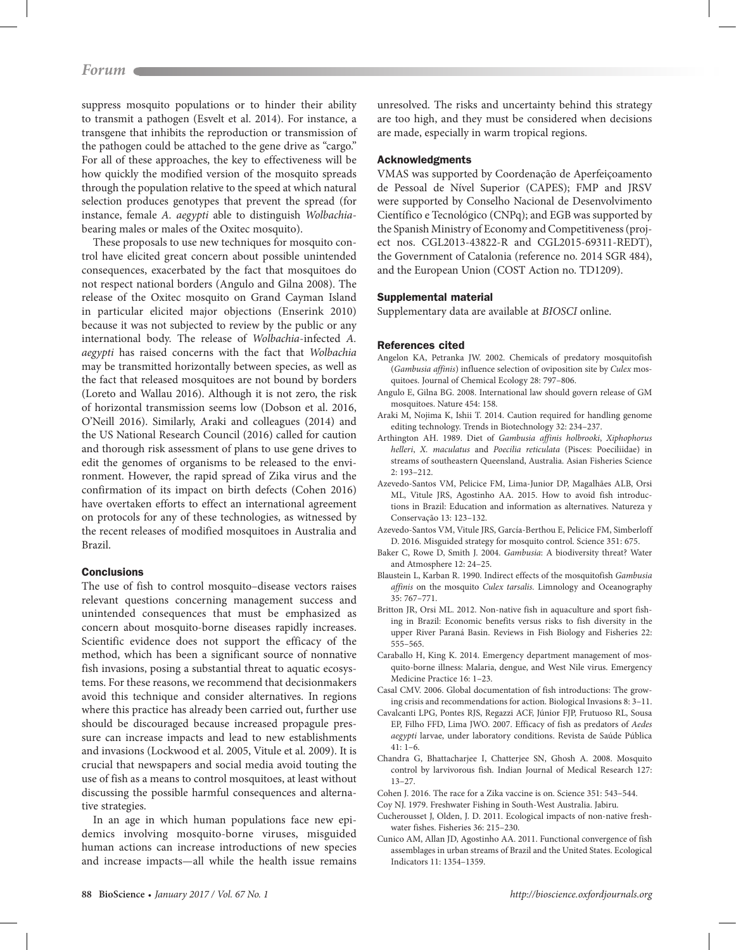suppress mosquito populations or to hinder their ability to transmit a pathogen (Esvelt et al. 2014). For instance, a transgene that inhibits the reproduction or transmission of the pathogen could be attached to the gene drive as "cargo." For all of these approaches, the key to effectiveness will be how quickly the modified version of the mosquito spreads through the population relative to the speed at which natural selection produces genotypes that prevent the spread (for instance, female *A. aegypti* able to distinguish *Wolbachia*bearing males or males of the Oxitec mosquito).

These proposals to use new techniques for mosquito control have elicited great concern about possible unintended consequences, exacerbated by the fact that mosquitoes do not respect national borders (Angulo and Gilna 2008). The release of the Oxitec mosquito on Grand Cayman Island in particular elicited major objections (Enserink 2010) because it was not subjected to review by the public or any international body. The release of *Wolbachia*-infected *A. aegypti* has raised concerns with the fact that *Wolbachia* may be transmitted horizontally between species, as well as the fact that released mosquitoes are not bound by borders (Loreto and Wallau 2016). Although it is not zero, the risk of horizontal transmission seems low (Dobson et al. 2016, O'Neill 2016). Similarly, Araki and colleagues (2014) and the US National Research Council (2016) called for caution and thorough risk assessment of plans to use gene drives to edit the genomes of organisms to be released to the environment. However, the rapid spread of Zika virus and the confirmation of its impact on birth defects (Cohen 2016) have overtaken efforts to effect an international agreement on protocols for any of these technologies, as witnessed by the recent releases of modified mosquitoes in Australia and Brazil.

## **Conclusions**

The use of fish to control mosquito–disease vectors raises relevant questions concerning management success and unintended consequences that must be emphasized as concern about mosquito-borne diseases rapidly increases. Scientific evidence does not support the efficacy of the method, which has been a significant source of nonnative fish invasions, posing a substantial threat to aquatic ecosystems. For these reasons, we recommend that decisionmakers avoid this technique and consider alternatives. In regions where this practice has already been carried out, further use should be discouraged because increased propagule pressure can increase impacts and lead to new establishments and invasions (Lockwood et al. 2005, Vitule et al. 2009). It is crucial that newspapers and social media avoid touting the use of fish as a means to control mosquitoes, at least without discussing the possible harmful consequences and alternative strategies.

In an age in which human populations face new epidemics involving mosquito-borne viruses, misguided human actions can increase introductions of new species and increase impacts—all while the health issue remains unresolved. The risks and uncertainty behind this strategy are too high, and they must be considered when decisions are made, especially in warm tropical regions.

## Acknowledgments

VMAS was supported by Coordenação de Aperfeiçoamento de Pessoal de Nível Superior (CAPES); FMP and JRSV were supported by Conselho Nacional de Desenvolvimento Científico e Tecnológico (CNPq); and EGB was supported by the Spanish Ministry of Economy and Competitiveness (project nos. CGL2013-43822-R and CGL2015-69311-REDT), the Government of Catalonia (reference no. 2014 SGR 484), and the European Union (COST Action no. TD1209).

#### Supplemental material

Supplementary data are available at *[BIOSCI](https://academic.oup.com/bioscience)* online.

#### References cited

- Angelon KA, Petranka JW. 2002. Chemicals of predatory mosquitofish (*Gambusia affinis*) influence selection of oviposition site by *Culex* mosquitoes. Journal of Chemical Ecology 28: 797–806.
- Angulo E, Gilna BG. 2008. International law should govern release of GM mosquitoes. Nature 454: 158.
- Araki M, Nojima K, Ishii T. 2014. Caution required for handling genome editing technology. Trends in Biotechnology 32: 234–237.
- Arthington AH. 1989. Diet of *Gambusia affinis holbrooki*, *Xiphophorus helleri*, *X. maculatus* and *Poecilia reticulata* (Pisces: Poeciliidae) in streams of southeastern Queensland, Australia. Asian Fisheries Science 2: 193–212.
- Azevedo-Santos VM, Pelicice FM, Lima-Junior DP, Magalhães ALB, Orsi ML, Vitule JRS, Agostinho AA. 2015. How to avoid fish introductions in Brazil: Education and information as alternatives. Natureza y Conservação 13: 123–132.
- Azevedo-Santos VM, Vitule JRS, García-Berthou E, Pelicice FM, Simberloff D. 2016. Misguided strategy for mosquito control. Science 351: 675.
- Baker C, Rowe D, Smith J. 2004. *Gambusia*: A biodiversity threat? Water and Atmosphere 12: 24–25.
- Blaustein L, Karban R. 1990. Indirect effects of the mosquitofish *Gambusia affinis* on the mosquito *Culex tarsalis.* Limnology and Oceanography 35: 767–771.
- Britton JR, Orsi ML. 2012. Non-native fish in aquaculture and sport fishing in Brazil: Economic benefits versus risks to fish diversity in the upper River Paraná Basin. Reviews in Fish Biology and Fisheries 22: 555–565.
- Caraballo H, King K. 2014. Emergency department management of mosquito-borne illness: Malaria, dengue, and West Nile virus. Emergency Medicine Practice 16: 1–23.
- Casal CMV. 2006. Global documentation of fish introductions: The growing crisis and recommendations for action. Biological Invasions 8: 3–11.
- Cavalcanti LPG, Pontes RJS, Regazzi ACF, Júnior FJP, Frutuoso RL, Sousa EP, Filho FFD, Lima JWO. 2007. Efficacy of fish as predators of *Aedes aegypti* larvae, under laboratory conditions. Revista de Saúde Pública 41: 1–6.
- Chandra G, Bhattacharjee I, Chatterjee SN, Ghosh A. 2008. Mosquito control by larvivorous fish. Indian Journal of Medical Research 127: 13–27.
- Cohen J. 2016. The race for a Zika vaccine is on. Science 351: 543–544.
- Coy NJ. 1979. Freshwater Fishing in South-West Australia. Jabiru.
- Cucherousset J, Olden, J. D. 2011. Ecological impacts of non-native freshwater fishes. Fisheries 36: 215–230.
- Cunico AM, Allan JD, Agostinho AA. 2011. Functional convergence of fish assemblages in urban streams of Brazil and the United States. Ecological Indicators 11: 1354–1359.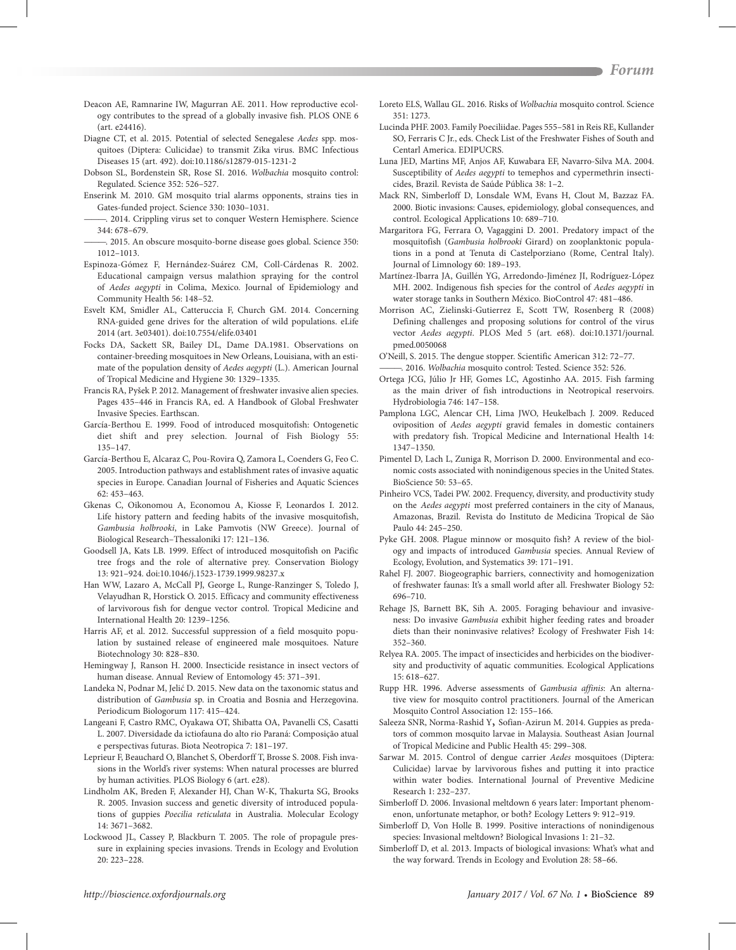- Deacon AE, Ramnarine IW, Magurran AE. 2011. How reproductive ecology contributes to the spread of a globally invasive fish. PLOS ONE 6 (art. e24416).
- Diagne CT, et al. 2015. Potential of selected Senegalese *Aedes* spp. mosquitoes (Diptera: Culicidae) to transmit Zika virus. BMC Infectious Diseases 15 (art. 492). doi:10.1186/s12879-015-1231-2
- Dobson SL, Bordenstein SR, Rose SI. 2016. *Wolbachia* mosquito control: Regulated. Science 352: 526–527.
- Enserink M. 2010. GM mosquito trial alarms opponents, strains ties in Gates-funded project. Science 330: 1030–1031.
- ———. 2014. Crippling virus set to conquer Western Hemisphere. Science 344: 678–679.
- ———. 2015. An obscure mosquito-borne disease goes global. Science 350: 1012–1013.
- Espinoza-Gómez F, Hernández-Suárez CM, Coll-Cárdenas R. 2002. Educational campaign versus malathion spraying for the control of *Aedes aegypti* in Colima, Mexico. Journal of Epidemiology and Community Health 56: 148–52.
- Esvelt KM, Smidler AL, Catteruccia F, Church GM. 2014. Concerning RNA-guided gene drives for the alteration of wild populations. eLife 2014 (art. 3e03401). doi:10.7554/elife.03401
- Focks DA, Sackett SR, Bailey DL, Dame DA.1981. Observations on container-breeding mosquitoes in New Orleans, Louisiana, with an estimate of the population density of *Aedes aegypti* (L.). American Journal of Tropical Medicine and Hygiene 30: 1329–1335.
- Francis RA, Pyšek P. 2012. Management of freshwater invasive alien species. Pages 435–446 in Francis RA, ed. A Handbook of Global Freshwater Invasive Species. Earthscan.
- García-Berthou E. 1999. Food of introduced mosquitofish: Ontogenetic diet shift and prey selection. Journal of Fish Biology 55: 135–147.
- García-Berthou E, Alcaraz C, Pou-Rovira Q, Zamora L, Coenders G, Feo C. 2005. Introduction pathways and establishment rates of invasive aquatic species in Europe. Canadian Journal of Fisheries and Aquatic Sciences 62: 453–463.
- Gkenas C, Oikonomou A, Economou A, Kiosse F, Leonardos I. 2012. Life history pattern and feeding habits of the invasive mosquitofish, *Gambusia holbrooki*, in Lake Pamvotis (NW Greece). Journal of Biological Research–Thessaloniki 17: 121–136.
- Goodsell JA, Kats LB. 1999. Effect of introduced mosquitofish on Pacific tree frogs and the role of alternative prey. Conservation Biology 13: 921–924. doi:10.1046/j.1523-1739.1999.98237.x
- Han WW, Lazaro A, McCall PJ, George L, Runge-Ranzinger S, Toledo J, Velayudhan R, Horstick O. 2015. Efficacy and community effectiveness of larvivorous fish for dengue vector control. Tropical Medicine and International Health 20: 1239–1256.
- Harris AF, et al. 2012. Successful suppression of a field mosquito population by sustained release of engineered male mosquitoes. Nature Biotechnology 30: 828–830.
- Hemingway J, Ranson H. 2000. Insecticide resistance in insect vectors of human disease. Annual Review of Entomology 45: 371–391.
- Landeka N, Podnar M, Jelić D. 2015. New data on the taxonomic status and distribution of *Gambusia* sp. in Croatia and Bosnia and Herzegovina. Periodicum Biologorum 117: 415–424.
- Langeani F, Castro RMC, Oyakawa OT, Shibatta OA, Pavanelli CS, Casatti L. 2007. Diversidade da ictiofauna do alto rio Paraná: Composição atual e perspectivas futuras. Biota Neotropica 7: 181–197.
- Leprieur F, Beauchard O, Blanchet S, Oberdorff T, Brosse S. 2008. Fish invasions in the World's river systems: When natural processes are blurred by human activities. PLOS Biology 6 (art. e28).
- Lindholm AK, Breden F, Alexander HJ, Chan W-K, Thakurta SG, Brooks R. 2005. Invasion success and genetic diversity of introduced populations of guppies *Poecilia reticulata* in Australia. Molecular Ecology 14: 3671–3682.
- Lockwood JL, Cassey P, Blackburn T. 2005. The role of propagule pressure in explaining species invasions. Trends in Ecology and Evolution 20: 223–228.
- Loreto ELS, Wallau GL. 2016. Risks of *Wolbachia* mosquito control. Science 351: 1273.
- Lucinda PHF. 2003. Family Poeciliidae. Pages 555–581 in Reis RE, Kullander SO, Ferraris C Jr., eds. Check List of the Freshwater Fishes of South and Centarl America. EDIPUCRS.
- Luna JED, Martins MF, Anjos AF, Kuwabara EF, Navarro-Silva MA. 2004. Susceptibility of *Aedes aegypti* to temephos and cypermethrin insecticides, Brazil. Revista de Saúde Pública 38: 1–2.
- Mack RN, Simberloff D, Lonsdale WM, Evans H, Clout M, Bazzaz FA. 2000. Biotic invasions: Causes, epidemiology, global consequences, and control. Ecological Applications 10: 689–710.
- Margaritora FG, Ferrara O, Vagaggini D. 2001. Predatory impact of the mosquitofish (*Gambusia holbrooki* Girard) on zooplanktonic populations in a pond at Tenuta di Castelporziano (Rome, Central Italy). Journal of Limnology 60: 189–193.
- Martínez-Ibarra JA, Guillén YG, Arredondo-Jiménez JI, Rodríguez-López MH. 2002. Indigenous fish species for the control of *Aedes aegypti* in water storage tanks in Southern México. BioControl 47: 481–486.
- Morrison AC, Zielinski-Gutierrez E, Scott TW, Rosenberg R (2008) Defining challenges and proposing solutions for control of the virus vector *Aedes aegypti*. PLOS Med 5 (art. e68). doi:10.1371/journal. pmed.0050068
- O'Neill, S. 2015. The dengue stopper. Scientific American 312: 72–77.
- ———. 2016. *Wolbachia* mosquito control: Tested. Science 352: 526.
- Ortega JCG, Júlio Jr HF, Gomes LC, Agostinho AA. 2015. Fish farming as the main driver of fish introductions in Neotropical reservoirs. Hydrobiologia 746: 147–158.
- Pamplona LGC, Alencar CH, Lima JWO, Heukelbach J. 2009. Reduced oviposition of *Aedes aegypti* gravid females in domestic containers with predatory fish. Tropical Medicine and International Health 14: 1347–1350.
- Pimentel D, Lach L, Zuniga R, Morrison D. 2000. Environmental and economic costs associated with nonindigenous species in the United States. BioScience 50: 53–65.
- Pinheiro VCS, Tadei PW. 2002. Frequency, diversity, and productivity study on the *Aedes aegypti* most preferred containers in the city of Manaus, Amazonas, Brazil. Revista do Instituto de Medicina Tropical de São Paulo 44: 245–250.
- Pyke GH. 2008. Plague minnow or mosquito fish? A review of the biology and impacts of introduced *Gambusia* species. Annual Review of Ecology, Evolution, and Systematics 39: 171–191.
- Rahel FJ. 2007. Biogeographic barriers, connectivity and homogenization of freshwater faunas: It's a small world after all. Freshwater Biology 52: 696–710.
- Rehage JS, Barnett BK, Sih A. 2005. Foraging behaviour and invasiveness: Do invasive *Gambusia* exhibit higher feeding rates and broader diets than their noninvasive relatives? Ecology of Freshwater Fish 14: 352–360.
- Relyea RA. 2005. The impact of insecticides and herbicides on the biodiversity and productivity of aquatic communities. Ecological Applications 15: 618–627.
- Rupp HR. 1996. Adverse assessments of *Gambusia affinis*: An alternative view for mosquito control practitioners. Journal of the American Mosquito Control Association 12: 155–166.
- Saleeza SNR, Norma-Rashid Y, Sofian-Azirun M. 2014. Guppies as predators of common mosquito larvae in Malaysia. Southeast Asian Journal of Tropical Medicine and Public Health 45: 299–308.
- Sarwar M. 2015. Control of dengue carrier *Aedes* mosquitoes (Diptera: Culicidae) larvae by larvivorous fishes and putting it into practice within water bodies. International Journal of Preventive Medicine Research 1: 232–237.
- Simberloff D. 2006. Invasional meltdown 6 years later: Important phenomenon, unfortunate metaphor, or both? Ecology Letters 9: 912–919.
- Simberloff D, Von Holle B. 1999. Positive interactions of nonindigenous species: Invasional meltdown? Biological Invasions 1: 21–32.
- Simberloff D, et al. 2013. Impacts of biological invasions: What's what and the way forward. Trends in Ecology and Evolution 28: 58–66.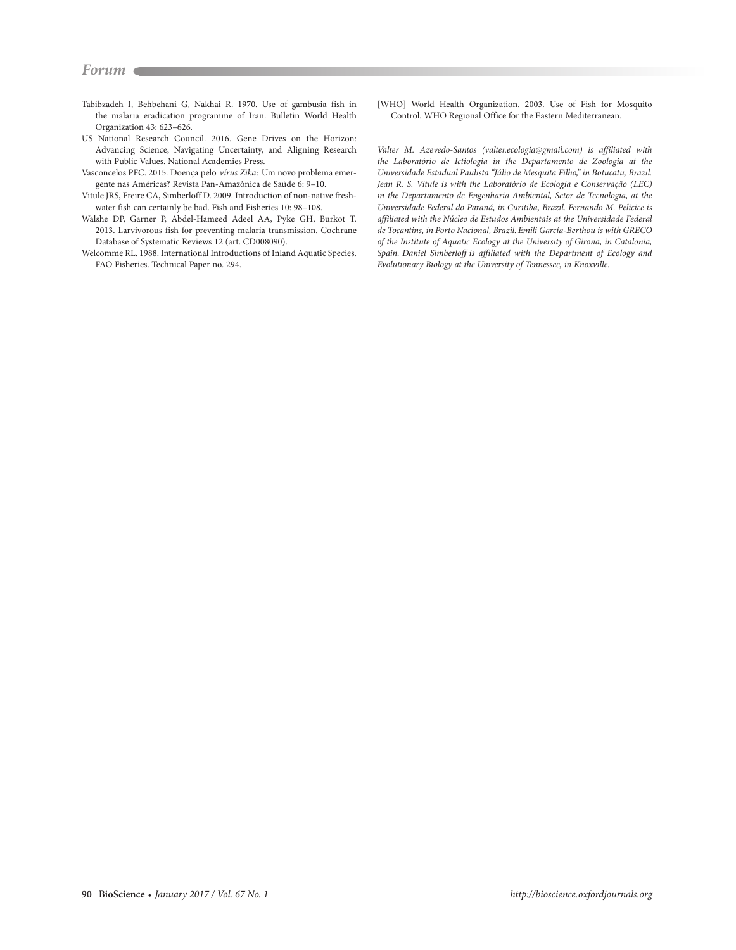# *Forum*

- Tabibzadeh I, Behbehani G, Nakhai R. 1970. Use of gambusia fish in the malaria eradication programme of Iran. Bulletin World Health Organization 43: 623–626.
- US National Research Council. 2016. Gene Drives on the Horizon: Advancing Science, Navigating Uncertainty, and Aligning Research with Public Values. National Academies Press.
- Vasconcelos PFC. 2015. Doença pelo *vírus Zika*: Um novo problema emergente nas Américas? Revista Pan-Amazônica de Saúde 6: 9–10.
- Vitule JRS, Freire CA, Simberloff D. 2009. Introduction of non-native freshwater fish can certainly be bad. Fish and Fisheries 10: 98–108.
- Walshe DP, Garner P, Abdel-Hameed Adeel AA, Pyke GH, Burkot T. 2013. Larvivorous fish for preventing malaria transmission. Cochrane Database of Systematic Reviews 12 (art. CD008090).
- Welcomme RL. 1988. International Introductions of Inland Aquatic Species. FAO Fisheries. Technical Paper no. 294.

[WHO] World Health Organization. 2003. Use of Fish for Mosquito Control. WHO Regional Office for the Eastern Mediterranean.

*Valter M. Azevedo-Santos (valter.ecologia@gmail.com) is affiliated with the Laboratório de Ictiologia in the Departamento de Zoologia at the Universidade Estadual Paulista "Júlio de Mesquita Filho," in Botucatu, Brazil. Jean R. S. Vitule is with the Laboratório de Ecologia e Conservação (LEC) in the Departamento de Engenharia Ambiental, Setor de Tecnologia, at the Universidade Federal do Paraná, in Curitiba, Brazil. Fernando M. Pelicice is affiliated with the Núcleo de Estudos Ambientais at the Universidade Federal de Tocantins, in Porto Nacional, Brazil. Emili García-Berthou is with GRECO of the Institute of Aquatic Ecology at the University of Girona, in Catalonia, Spain. Daniel Simberloff is affiliated with the Department of Ecology and Evolutionary Biology at the University of Tennessee, in Knoxville.*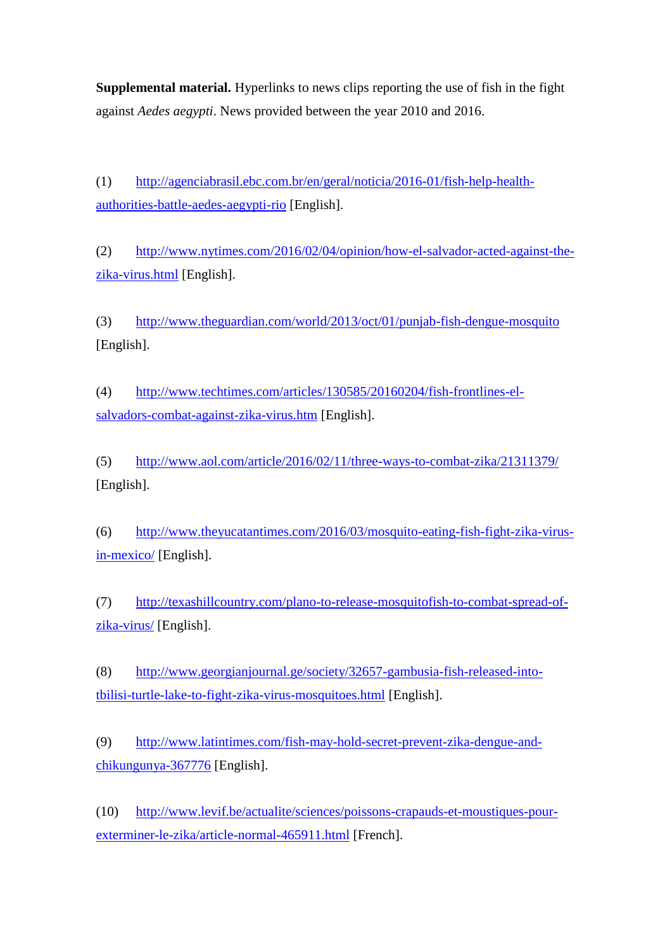**Supplemental material.** Hyperlinks to news clips reporting the use of fish in the fight against *Aedes aegypti*. News provided between the year 2010 and 2016.

(1) [http://agenciabrasil.ebc.com.br/en/geral/noticia/2016-01/fish-help-health](http://agenciabrasil.ebc.com.br/en/geral/noticia/2016-01/fish-help-health-authorities-battle-aedes-aegypti-rio)[authorities-battle-aedes-aegypti-rio](http://agenciabrasil.ebc.com.br/en/geral/noticia/2016-01/fish-help-health-authorities-battle-aedes-aegypti-rio) [English].

(2) [http://www.nytimes.com/2016/02/04/opinion/how-el-salvador-acted-against-the](http://www.nytimes.com/2016/02/04/opinion/how-el-salvador-acted-against-the-zika-virus.html)[zika-virus.html](http://www.nytimes.com/2016/02/04/opinion/how-el-salvador-acted-against-the-zika-virus.html) [English].

(3) <http://www.theguardian.com/world/2013/oct/01/punjab-fish-dengue-mosquito> [English].

(4) [http://www.techtimes.com/articles/130585/20160204/fish-frontlines-el](http://www.techtimes.com/articles/130585/20160204/fish-frontlines-el-salvadors-combat-against-zika-virus.htm)[salvadors-combat-against-zika-virus.htm](http://www.techtimes.com/articles/130585/20160204/fish-frontlines-el-salvadors-combat-against-zika-virus.htm) [English].

(5) <http://www.aol.com/article/2016/02/11/three-ways-to-combat-zika/21311379/> [English].

(6) [http://www.theyucatantimes.com/2016/03/mosquito-eating-fish-fight-zika-virus](http://www.theyucatantimes.com/2016/03/mosquito-eating-fish-fight-zika-virus-in-mexico/)[in-mexico/](http://www.theyucatantimes.com/2016/03/mosquito-eating-fish-fight-zika-virus-in-mexico/) [English].

(7) [http://texashillcountry.com/plano-to-release-mosquitofish-to-combat-spread-of](http://texashillcountry.com/plano-to-release-mosquitofish-to-combat-spread-of-zika-virus/)[zika-virus/](http://texashillcountry.com/plano-to-release-mosquitofish-to-combat-spread-of-zika-virus/) [English].

(8) [http://www.georgianjournal.ge/society/32657-gambusia-fish-released-into](http://www.georgianjournal.ge/society/32657-gambusia-fish-released-into-tbilisi-turtle-lake-to-fight-zika-virus-mosquitoes.html)[tbilisi-turtle-lake-to-fight-zika-virus-mosquitoes.html](http://www.georgianjournal.ge/society/32657-gambusia-fish-released-into-tbilisi-turtle-lake-to-fight-zika-virus-mosquitoes.html) [English].

(9) [http://www.latintimes.com/fish-may-hold-secret-prevent-zika-dengue-and](http://www.latintimes.com/fish-may-hold-secret-prevent-zika-dengue-and-chikungunya-367776)[chikungunya-367776](http://www.latintimes.com/fish-may-hold-secret-prevent-zika-dengue-and-chikungunya-367776) [English].

(10) [http://www.levif.be/actualite/sciences/poissons-crapauds-et-moustiques-pour](http://www.levif.be/actualite/sciences/poissons-crapauds-et-moustiques-pour-exterminer-le-zika/article-normal-465911.html)[exterminer-le-zika/article-normal-465911.html](http://www.levif.be/actualite/sciences/poissons-crapauds-et-moustiques-pour-exterminer-le-zika/article-normal-465911.html) [French].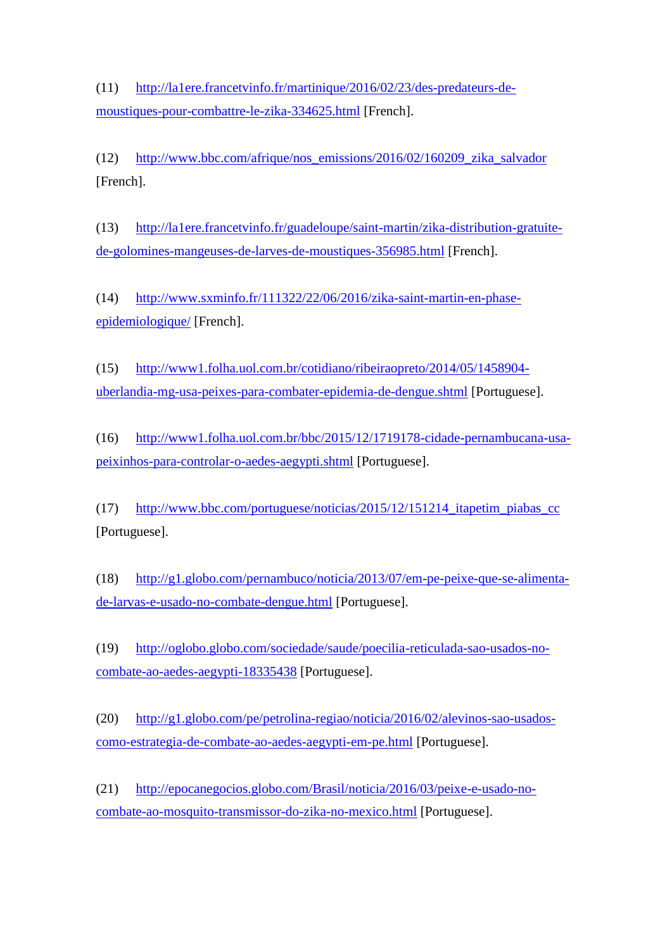(11) [http://la1ere.francetvinfo.fr/martinique/2016/02/23/des-predateurs-de](http://la1ere.francetvinfo.fr/martinique/2016/02/23/des-predateurs-de-moustiques-pour-combattre-le-zika-334625.html)[moustiques-pour-combattre-le-zika-334625.html](http://la1ere.francetvinfo.fr/martinique/2016/02/23/des-predateurs-de-moustiques-pour-combattre-le-zika-334625.html) [French].

(12) [http://www.bbc.com/afrique/nos\\_emissions/2016/02/160209\\_zika\\_salvador](http://www.bbc.com/afrique/nos_emissions/2016/02/160209_zika_salvador) [French].

(13) [http://la1ere.francetvinfo.fr/guadeloupe/saint-martin/zika-distribution-gratuite](http://la1ere.francetvinfo.fr/guadeloupe/saint-martin/zika-distribution-gratuite-de-golomines-mangeuses-de-larves-de-moustiques-356985.html)[de-golomines-mangeuses-de-larves-de-moustiques-356985.html](http://la1ere.francetvinfo.fr/guadeloupe/saint-martin/zika-distribution-gratuite-de-golomines-mangeuses-de-larves-de-moustiques-356985.html) [French].

(14) [http://www.sxminfo.fr/111322/22/06/2016/zika-saint-martin-en-phase](http://www.sxminfo.fr/111322/22/06/2016/zika-saint-martin-en-phase-epidemiologique/)[epidemiologique/](http://www.sxminfo.fr/111322/22/06/2016/zika-saint-martin-en-phase-epidemiologique/) [French].

(15) [http://www1.folha.uol.com.br/cotidiano/ribeiraopreto/2014/05/1458904](http://www1.folha.uol.com.br/cotidiano/ribeiraopreto/2014/05/1458904-uberlandia-mg-usa-peixes-para-combater-epidemia-de-dengue.shtml) [uberlandia-mg-usa-peixes-para-combater-epidemia-de-dengue.shtml](http://www1.folha.uol.com.br/cotidiano/ribeiraopreto/2014/05/1458904-uberlandia-mg-usa-peixes-para-combater-epidemia-de-dengue.shtml) [Portuguese].

(16) [http://www1.folha.uol.com.br/bbc/2015/12/1719178-cidade-pernambucana-usa](http://www1.folha.uol.com.br/bbc/2015/12/1719178-cidade-pernambucana-usa-peixinhos-para-controlar-o-aedes-aegypti.shtml)[peixinhos-para-controlar-o-aedes-aegypti.shtml](http://www1.folha.uol.com.br/bbc/2015/12/1719178-cidade-pernambucana-usa-peixinhos-para-controlar-o-aedes-aegypti.shtml) [Portuguese].

(17) [http://www.bbc.com/portuguese/noticias/2015/12/151214\\_itapetim\\_piabas\\_cc](http://www.bbc.com/portuguese/noticias/2015/12/151214_itapetim_piabas_cc) [Portuguese].

(18) [http://g1.globo.com/pernambuco/noticia/2013/07/em-pe-peixe-que-se-alimenta](http://g1.globo.com/pernambuco/noticia/2013/07/em-pe-peixe-que-se-alimenta-de-larvas-e-usado-no-combate-dengue.html)[de-larvas-e-usado-no-combate-dengue.html](http://g1.globo.com/pernambuco/noticia/2013/07/em-pe-peixe-que-se-alimenta-de-larvas-e-usado-no-combate-dengue.html) [Portuguese].

(19) [http://oglobo.globo.com/sociedade/saude/poecilia-reticulada-sao-usados-no](http://oglobo.globo.com/sociedade/saude/poecilia-reticulada-sao-usados-no-combate-ao-aedes-aegypti-18335438)[combate-ao-aedes-aegypti-18335438](http://oglobo.globo.com/sociedade/saude/poecilia-reticulada-sao-usados-no-combate-ao-aedes-aegypti-18335438) [Portuguese].

(20) [http://g1.globo.com/pe/petrolina-regiao/noticia/2016/02/alevinos-sao-usados](http://g1.globo.com/pe/petrolina-regiao/noticia/2016/02/alevinos-sao-usados-como-estrategia-de-combate-ao-aedes-aegypti-em-pe.html)[como-estrategia-de-combate-ao-aedes-aegypti-em-pe.html](http://g1.globo.com/pe/petrolina-regiao/noticia/2016/02/alevinos-sao-usados-como-estrategia-de-combate-ao-aedes-aegypti-em-pe.html) [Portuguese].

(21) [http://epocanegocios.globo.com/Brasil/noticia/2016/03/peixe-e-usado-no](http://epocanegocios.globo.com/Brasil/noticia/2016/03/peixe-e-usado-no-combate-ao-mosquito-transmissor-do-zika-no-mexico.html)[combate-ao-mosquito-transmissor-do-zika-no-mexico.html](http://epocanegocios.globo.com/Brasil/noticia/2016/03/peixe-e-usado-no-combate-ao-mosquito-transmissor-do-zika-no-mexico.html) [Portuguese].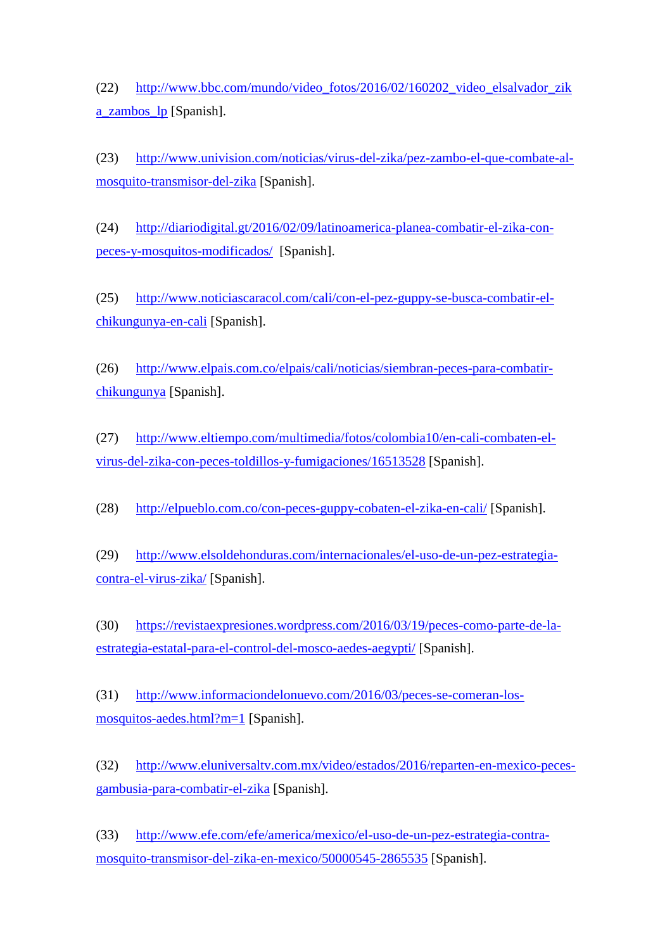(22) [http://www.bbc.com/mundo/video\\_fotos/2016/02/160202\\_video\\_elsalvador\\_zik](http://www.bbc.com/mundo/video_fotos/2016/02/160202_video_elsalvador_zika_zambos_lp) [a\\_zambos\\_lp](http://www.bbc.com/mundo/video_fotos/2016/02/160202_video_elsalvador_zika_zambos_lp) [Spanish].

(23) [http://www.univision.com/noticias/virus-del-zika/pez-zambo-el-que-combate-al](http://www.univision.com/noticias/virus-del-zika/pez-zambo-el-que-combate-al-mosquito-transmisor-del-zika)[mosquito-transmisor-del-zika](http://www.univision.com/noticias/virus-del-zika/pez-zambo-el-que-combate-al-mosquito-transmisor-del-zika) [Spanish].

(24) [http://diariodigital.gt/2016/02/09/latinoamerica-planea-combatir-el-zika-con](http://diariodigital.gt/2016/02/09/latinoamerica-planea-combatir-el-zika-con-peces-y-mosquitos-modificados/)[peces-y-mosquitos-modificados/](http://diariodigital.gt/2016/02/09/latinoamerica-planea-combatir-el-zika-con-peces-y-mosquitos-modificados/) [Spanish].

(25) [http://www.noticiascaracol.com/cali/con-el-pez-guppy-se-busca-combatir-el](http://www.noticiascaracol.com/cali/con-el-pez-guppy-se-busca-combatir-el-chikungunya-en-cali)[chikungunya-en-cali](http://www.noticiascaracol.com/cali/con-el-pez-guppy-se-busca-combatir-el-chikungunya-en-cali) [Spanish].

(26) [http://www.elpais.com.co/elpais/cali/noticias/siembran-peces-para-combatir](http://www.elpais.com.co/elpais/cali/noticias/siembran-peces-para-combatir-chikungunya)[chikungunya](http://www.elpais.com.co/elpais/cali/noticias/siembran-peces-para-combatir-chikungunya) [Spanish].

(27) [http://www.eltiempo.com/multimedia/fotos/colombia10/en-cali-combaten-el](http://www.eltiempo.com/multimedia/fotos/colombia10/en-cali-combaten-el-virus-del-zika-con-peces-toldillos-y-fumigaciones/16513528)[virus-del-zika-con-peces-toldillos-y-fumigaciones/16513528](http://www.eltiempo.com/multimedia/fotos/colombia10/en-cali-combaten-el-virus-del-zika-con-peces-toldillos-y-fumigaciones/16513528) [Spanish].

(28) <http://elpueblo.com.co/con-peces-guppy-cobaten-el-zika-en-cali/> [Spanish].

(29) [http://www.elsoldehonduras.com/internacionales/el-uso-de-un-pez-estrategia](http://www.elsoldehonduras.com/internacionales/el-uso-de-un-pez-estrategia-contra-el-virus-zika/)[contra-el-virus-zika/](http://www.elsoldehonduras.com/internacionales/el-uso-de-un-pez-estrategia-contra-el-virus-zika/) [Spanish].

(30) [https://revistaexpresiones.wordpress.com/2016/03/19/peces-como-parte-de-la](https://revistaexpresiones.wordpress.com/2016/03/19/peces-como-parte-de-la-estrategia-estatal-para-el-control-del-mosco-aedes-aegypti/)[estrategia-estatal-para-el-control-del-mosco-aedes-aegypti/](https://revistaexpresiones.wordpress.com/2016/03/19/peces-como-parte-de-la-estrategia-estatal-para-el-control-del-mosco-aedes-aegypti/) [Spanish].

(31) [http://www.informaciondelonuevo.com/2016/03/peces-se-comeran-los](http://www.informaciondelonuevo.com/2016/03/peces-se-comeran-los-mosquitos-aedes.html?m=1)[mosquitos-aedes.html?m=1](http://www.informaciondelonuevo.com/2016/03/peces-se-comeran-los-mosquitos-aedes.html?m=1) [Spanish].

(32) [http://www.eluniversaltv.com.mx/video/estados/2016/reparten-en-mexico-peces](http://www.eluniversaltv.com.mx/video/estados/2016/reparten-en-mexico-peces-gambusia-para-combatir-el-zika)[gambusia-para-combatir-el-zika](http://www.eluniversaltv.com.mx/video/estados/2016/reparten-en-mexico-peces-gambusia-para-combatir-el-zika) [Spanish].

(33) [http://www.efe.com/efe/america/mexico/el-uso-de-un-pez-estrategia-contra](http://www.efe.com/efe/america/mexico/el-uso-de-un-pez-estrategia-contra-mosquito-transmisor-del-zika-en-mexico/50000545-2865535)[mosquito-transmisor-del-zika-en-mexico/50000545-2865535](http://www.efe.com/efe/america/mexico/el-uso-de-un-pez-estrategia-contra-mosquito-transmisor-del-zika-en-mexico/50000545-2865535) [Spanish].